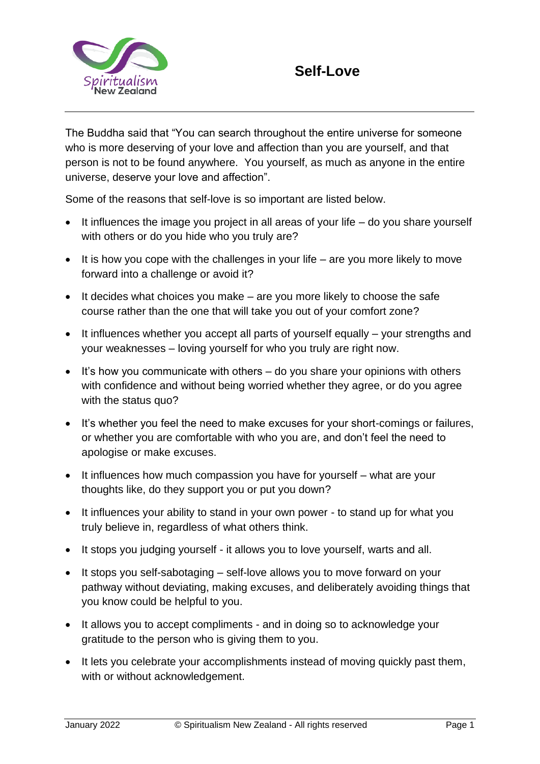

The Buddha said that "You can search throughout the entire universe for someone who is more deserving of your love and affection than you are yourself, and that person is not to be found anywhere. You yourself, as much as anyone in the entire universe, deserve your love and affection".

Some of the reasons that self-love is so important are listed below.

- It influences the image you project in all areas of your life do you share yourself with others or do you hide who you truly are?
- It is how you cope with the challenges in your life are you more likely to move forward into a challenge or avoid it?
- It decides what choices you make are you more likely to choose the safe course rather than the one that will take you out of your comfort zone?
- It influences whether you accept all parts of yourself equally your strengths and your weaknesses – loving yourself for who you truly are right now.
- It's how you communicate with others do you share your opinions with others with confidence and without being worried whether they agree, or do you agree with the status quo?
- It's whether you feel the need to make excuses for your short-comings or failures, or whether you are comfortable with who you are, and don't feel the need to apologise or make excuses.
- It influences how much compassion you have for yourself what are your thoughts like, do they support you or put you down?
- It influences your ability to stand in your own power to stand up for what you truly believe in, regardless of what others think.
- It stops you judging yourself it allows you to love yourself, warts and all.
- It stops you self-sabotaging self-love allows you to move forward on your pathway without deviating, making excuses, and deliberately avoiding things that you know could be helpful to you.
- It allows you to accept compliments and in doing so to acknowledge your gratitude to the person who is giving them to you.
- It lets you celebrate your accomplishments instead of moving quickly past them, with or without acknowledgement.